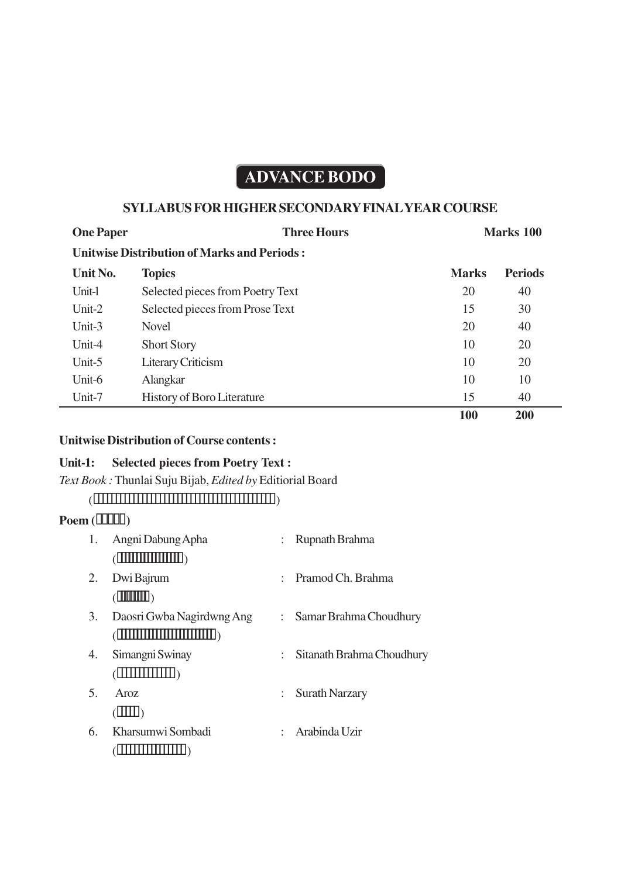# **ADVANCE BODO**

## **SYLLABUS FOR HIGHER SECONDARY FINAL YEAR COURSE**

| <b>One Paper</b> | <b>Three Hours</b>                                 |              | <b>Marks</b> 100 |  |
|------------------|----------------------------------------------------|--------------|------------------|--|
|                  | <b>Unitwise Distribution of Marks and Periods:</b> |              |                  |  |
| Unit No.         | <b>Topics</b>                                      | <b>Marks</b> | <b>Periods</b>   |  |
| Unit-l           | Selected pieces from Poetry Text                   | 20           | 40               |  |
| Unit- $2$        | Selected pieces from Prose Text                    | 15           | 30               |  |
| Unit-3           | <b>Novel</b>                                       | 20           | 40               |  |
| Unit-4           | <b>Short Story</b>                                 | 10           | 20               |  |
| Unit-5           | Literary Criticism                                 | 10           | 20               |  |
| Unit-6           | <b>Alangkar</b>                                    | 10           | 10               |  |
| Unit-7           | <b>History of Boro Literature</b>                  | 15           | 40               |  |
|                  |                                                    | <b>100</b>   | 200              |  |

#### **Unitwise Distribution of Course contents :**

## **Unit-1: Selected pieces from Poetry Text :**

*Text Book :* Thunlai Suju Bijab, *Edited by* Editiorial Board

## $($   $\frac{1}{2}$   $\frac{1}{2}$   $\frac{1}{2}$   $\frac{1}{2}$   $\frac{1}{2}$   $\frac{1}{2}$   $\frac{1}{2}$   $\frac{1}{2}$   $\frac{1}{2}$   $\frac{1}{2}$   $\frac{1}{2}$   $\frac{1}{2}$   $\frac{1}{2}$   $\frac{1}{2}$   $\frac{1}{2}$   $\frac{1}{2}$   $\frac{1}{2}$   $\frac{1}{2}$   $\frac{1}{2}$   $\frac{1}{2}$   $\frac{1}{2}$   $\frac{1}{2$

## **Poem ()**

| 1. | Angni Dabung Apha                                                                                                                                                                                                                                                                                                                                                                                                                                                                                                                                         |                           | Rupnath Brahma            |
|----|-----------------------------------------------------------------------------------------------------------------------------------------------------------------------------------------------------------------------------------------------------------------------------------------------------------------------------------------------------------------------------------------------------------------------------------------------------------------------------------------------------------------------------------------------------------|---------------------------|---------------------------|
|    | $(\boxed{\textcolor{blue}{\textbf{min}}}\ \textcolor{blue}{\textcolor{blue}{\textbf{min}}})$                                                                                                                                                                                                                                                                                                                                                                                                                                                              |                           |                           |
| 2. | Dwi Bajrum                                                                                                                                                                                                                                                                                                                                                                                                                                                                                                                                                |                           | Pramod Ch. Brahma         |
|    | $(\mathbb{H}\mathbb{H})$                                                                                                                                                                                                                                                                                                                                                                                                                                                                                                                                  |                           |                           |
| 3. | Daosri Gwba Nagirdwng Ang                                                                                                                                                                                                                                                                                                                                                                                                                                                                                                                                 | $\mathbb{R}^{\mathbb{Z}}$ | Samar Brahma Choudhury    |
|    | $(\boxed{\textcolor{blue}{\textbf{  }}\textcolor{blue}{\textbf{  }}\textcolor{blue}{\textbf{  }}\textcolor{blue}{\textbf{  }}\textcolor{blue}{\textbf{  }}\textcolor{blue}{\textbf{  }}\textcolor{blue}{\textbf{  }}\textcolor{blue}{\textbf{  }}\textcolor{blue}{\textbf{  }}\textcolor{blue}{\textbf{  }}\textcolor{blue}{\textbf{  }}\textcolor{blue}{\textbf{  }}\textcolor{blue}{\textbf{  }}\textcolor{blue}{\textbf{  }}\textcolor{blue}{\textbf{  }}\textcolor{blue}{\textbf{  }}\textcolor{blue}{\textbf{  }}\textcolor{blue}{\textbf{  }}\text$ |                           |                           |
| 4. | Simangni Swinay                                                                                                                                                                                                                                                                                                                                                                                                                                                                                                                                           |                           | Sitanath Brahma Choudhury |
|    | (IIIIIIIII)                                                                                                                                                                                                                                                                                                                                                                                                                                                                                                                                               |                           |                           |
| 5. | Aroz                                                                                                                                                                                                                                                                                                                                                                                                                                                                                                                                                      |                           | <b>Surath Narzary</b>     |
|    | (III)                                                                                                                                                                                                                                                                                                                                                                                                                                                                                                                                                     |                           |                           |
| 6. | Kharsumwi Sombadi                                                                                                                                                                                                                                                                                                                                                                                                                                                                                                                                         |                           | : Arabinda Uzir           |
|    |                                                                                                                                                                                                                                                                                                                                                                                                                                                                                                                                                           |                           |                           |
|    |                                                                                                                                                                                                                                                                                                                                                                                                                                                                                                                                                           |                           |                           |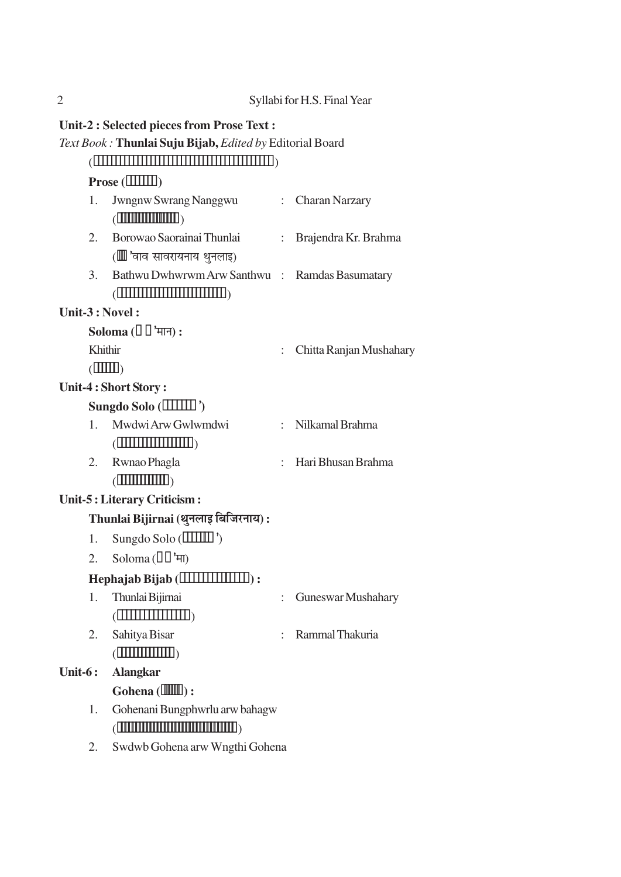|         |                                    | <b>Unit-2 : Selected pieces from Prose Text :</b>                                                                                                                                                                                                                                                                                                                                                                                                                                                                                                                                                           |  |                           |  |  |
|---------|------------------------------------|-------------------------------------------------------------------------------------------------------------------------------------------------------------------------------------------------------------------------------------------------------------------------------------------------------------------------------------------------------------------------------------------------------------------------------------------------------------------------------------------------------------------------------------------------------------------------------------------------------------|--|---------------------------|--|--|
|         |                                    | Text Book: Thunlai Suju Bijab, Edited by Editorial Board                                                                                                                                                                                                                                                                                                                                                                                                                                                                                                                                                    |  |                           |  |  |
|         |                                    |                                                                                                                                                                                                                                                                                                                                                                                                                                                                                                                                                                                                             |  |                           |  |  |
|         | $Prose$ ( $\boxed{\Box\Box\Box}$ ) |                                                                                                                                                                                                                                                                                                                                                                                                                                                                                                                                                                                                             |  |                           |  |  |
|         | 1.                                 | Jwngnw Swrang Nanggwu<br>$(\boxed{\textcolor{blue}{\textbf{  }}\textcolor{blue}{\textbf{  }}\textcolor{blue}{\textbf{  }}\textcolor{blue}{\textbf{  }}\textcolor{blue}{\textbf{  }}\textcolor{blue}{\textbf{  }}\textcolor{blue}{\textbf{  }}\textcolor{blue}{\textbf{  }}\textcolor{blue}{\textbf{  }}\textcolor{blue}{\textbf{  }}\textcolor{blue}{\textbf{  }}\textcolor{blue}{\textbf{  }}\textcolor{blue}{\textbf{  }}\textcolor{blue}{\textbf{  }}\textcolor{blue}{\textbf{  }}\textcolor{blue}{\textbf{  }}\textcolor{blue}{\textbf{  }}\textcolor{blue}{\textbf{  }}\text$                          |  | : Charan Narzary          |  |  |
|         | 2.                                 | Borowao Saorainai Thunlai                                                                                                                                                                                                                                                                                                                                                                                                                                                                                                                                                                                   |  | : Brajendra Kr. Brahma    |  |  |
|         |                                    | (Ⅲ 'वाव सावरायनाय थुनलाइ)                                                                                                                                                                                                                                                                                                                                                                                                                                                                                                                                                                                   |  |                           |  |  |
|         | 3.                                 | Bathwu Dwhwrwm Arw Santhwu : Ramdas Basumatary<br>$(\boxed{\textcolor{blue}{\textbf{  }}\textcolor{blue}{\textbf{  }}\textcolor{blue}{\textbf{  }}\textcolor{blue}{\textbf{  }}\textcolor{blue}{\textbf{  }}\textcolor{blue}{\textbf{  }}\textcolor{blue}{\textbf{  }}\textcolor{blue}{\textbf{  }}\textcolor{blue}{\textbf{  }}\textcolor{blue}{\textbf{  }}\textcolor{blue}{\textbf{  }}\textcolor{blue}{\textbf{  }}\textcolor{blue}{\textbf{  }}\textcolor{blue}{\textbf{  }}\textcolor{blue}{\textbf{  }}\textcolor{blue}{\textbf{  }}\textcolor{blue}{\textbf{  }}\textcolor{blue}{\textbf{  }}\text$ |  |                           |  |  |
|         |                                    | Unit-3 : Novel :                                                                                                                                                                                                                                                                                                                                                                                                                                                                                                                                                                                            |  |                           |  |  |
|         |                                    | Soloma $(\Box \Box$ 'मान) :                                                                                                                                                                                                                                                                                                                                                                                                                                                                                                                                                                                 |  |                           |  |  |
|         | Khithir                            |                                                                                                                                                                                                                                                                                                                                                                                                                                                                                                                                                                                                             |  | Chitta Ranjan Mushahary   |  |  |
|         | $(\mathbb{III})$                   |                                                                                                                                                                                                                                                                                                                                                                                                                                                                                                                                                                                                             |  |                           |  |  |
|         |                                    | Unit-4 : Short Story :                                                                                                                                                                                                                                                                                                                                                                                                                                                                                                                                                                                      |  |                           |  |  |
|         |                                    | Sungdo Solo $(\boxed{\text{111}}')$                                                                                                                                                                                                                                                                                                                                                                                                                                                                                                                                                                         |  |                           |  |  |
|         | 1.                                 | Mwdwi Arw Gwlwmdwi                                                                                                                                                                                                                                                                                                                                                                                                                                                                                                                                                                                          |  | : Nilkamal Brahma         |  |  |
|         |                                    | $(\boxed{\textcolor{blue}{\textbf{  }}\textcolor{blue}{\textbf{  }}\textcolor{blue}{\textbf{  }}\textcolor{blue}{\textbf{  }}\textcolor{blue}{\textbf{  }}\textcolor{blue}{\textbf{  }}\textcolor{blue}{\textbf{  }}\textcolor{blue}{\textbf{  }}\textcolor{blue}{\textbf{  }}\textcolor{blue}{\textbf{  }}\textcolor{blue}{\textbf{  }}\textcolor{blue}{\textbf{  }}\textcolor{blue}{\textbf{  }}\textcolor{blue}{\textbf{  }}\textcolor{blue}{\textbf{  }}\textcolor{blue}{\textbf{  }}\textcolor{blue}{\textbf{  }}\textcolor{blue}{\textbf{  }}\text$                                                   |  |                           |  |  |
|         | 2.                                 | Rwnao Phagla                                                                                                                                                                                                                                                                                                                                                                                                                                                                                                                                                                                                |  | : Hari Bhusan Brahma      |  |  |
|         |                                    | $(\boxed{\textcolor{blue}{\textbf{[}}\textcolor{blue}{\textbf{[}}\textcolor{blue}{\textbf{[}}\textcolor{blue}{\textbf{[}}\textcolor{blue}{\textbf{[}}\textcolor{blue}{\textbf{[}}\textcolor{blue}{\textbf{[}}\textcolor{blue}{\textbf{[}}\textcolor{blue}{\textbf{[}}\textcolor{blue}{\textbf{[}}\textcolor{blue}{\textbf{[}}\textcolor{blue}{\textbf{[}}\textcolor{blue}{\textbf{[}}\textcolor{blue}{\textbf{[}}\textcolor{blue}{\textbf{[}}\textcolor{blue}{\textbf{[}}\textcolor{blue}{\textbf{[}}\textcolor{blue}{\textbf{[}}\text$                                                                     |  |                           |  |  |
|         |                                    | Unit-5 : Literary Criticism :                                                                                                                                                                                                                                                                                                                                                                                                                                                                                                                                                                               |  |                           |  |  |
|         |                                    | Thunlai Bijirnai (थुनलाइ बिजिरनाय):                                                                                                                                                                                                                                                                                                                                                                                                                                                                                                                                                                         |  |                           |  |  |
|         | 1.                                 | Sungdo Solo ( <b>IIIIIII</b> )')                                                                                                                                                                                                                                                                                                                                                                                                                                                                                                                                                                            |  |                           |  |  |
|         | 2.                                 | Soloma $(\Pi^{\dagger} \mathbb{H})$                                                                                                                                                                                                                                                                                                                                                                                                                                                                                                                                                                         |  |                           |  |  |
|         |                                    | $\mathbf{Hephajab} \text{ Bijab} (\mathbf{IIIIIIIIIII})$ :                                                                                                                                                                                                                                                                                                                                                                                                                                                                                                                                                  |  |                           |  |  |
|         | 1.                                 | Thunlai Bijirnai                                                                                                                                                                                                                                                                                                                                                                                                                                                                                                                                                                                            |  | <b>Guneswar Mushahary</b> |  |  |
|         |                                    | $(\Box \Box \Box \Box \Box \Box \Box \Box \Box$                                                                                                                                                                                                                                                                                                                                                                                                                                                                                                                                                             |  |                           |  |  |
|         | 2.                                 | Sahitya Bisar                                                                                                                                                                                                                                                                                                                                                                                                                                                                                                                                                                                               |  | Rammal Thakuria           |  |  |
|         |                                    | $(\boxed{\text{minmin}})$                                                                                                                                                                                                                                                                                                                                                                                                                                                                                                                                                                                   |  |                           |  |  |
| Unit-6: |                                    | <b>Alangkar</b>                                                                                                                                                                                                                                                                                                                                                                                                                                                                                                                                                                                             |  |                           |  |  |
|         |                                    | Gohena $(\mathbb{III})$ :                                                                                                                                                                                                                                                                                                                                                                                                                                                                                                                                                                                   |  |                           |  |  |
|         | 1.                                 | Gohenani Bungphwrlu arw bahagw<br>$(\boxed{ \textcolor{red}{\textbf{  }} \textcolor{blue}{\textbf{  }} \textcolor{blue}{\textbf{  }} \textcolor{blue}{\textbf{  }} \textcolor{blue}{\textbf{  }} \textcolor{blue}{\textbf{  }} \textcolor{blue}{\textbf{  }} \textcolor{blue}{\textbf{  }} \textcolor{blue}{\textbf{  }} \textcolor{blue}{\textbf{  }} \textcolor{blue}{\textbf{  }} \textcolor{blue}{\textbf{  }} \textcolor{blue}{\textbf{  }} \textcolor{blue}{\textbf{  }} \textcolor{blue}{\textbf{  }} \textcolor{blue}{\textbf{  }} \textcolor{blue}{\textbf{  }} \textcolor{blue}{\textbf{  }} \$   |  |                           |  |  |
|         | 2.                                 | Swdwb Gohena arw Wngthi Gohena                                                                                                                                                                                                                                                                                                                                                                                                                                                                                                                                                                              |  |                           |  |  |